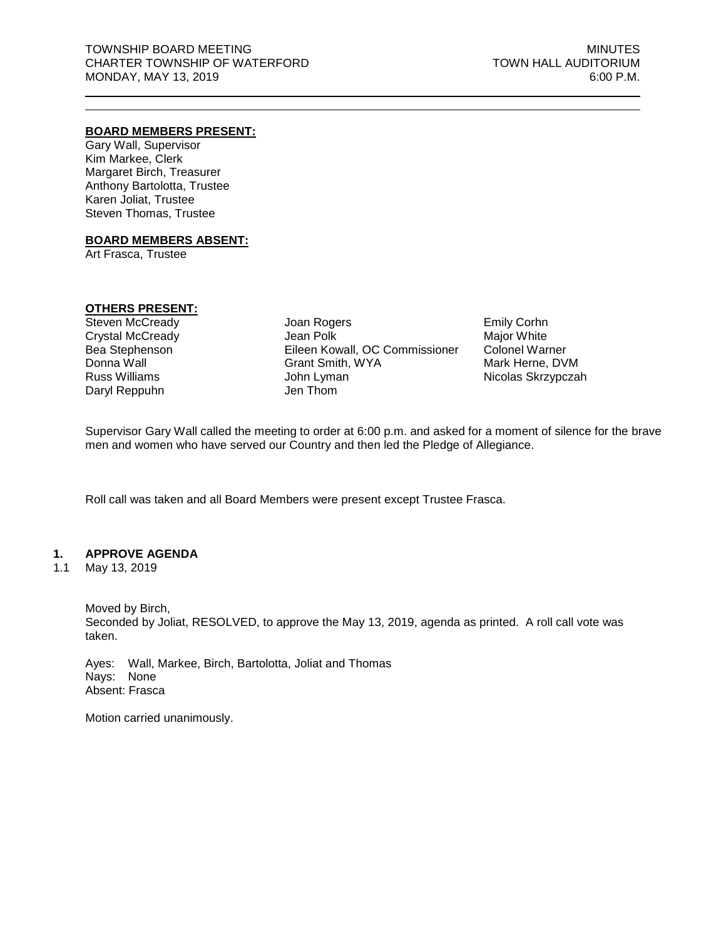### **BOARD MEMBERS PRESENT:**

Gary Wall, Supervisor Kim Markee, Clerk Margaret Birch, Treasurer Anthony Bartolotta, Trustee Karen Joliat, Trustee Steven Thomas, Trustee

#### **BOARD MEMBERS ABSENT:**

Art Frasca, Trustee

### **OTHERS PRESENT:**

Steven McCready Crystal McCready Bea Stephenson Donna Wall Russ Williams Daryl Reppuhn

Joan Rogers Jean Polk Eileen Kowall, OC Commissioner Grant Smith, WYA John Lyman Jen Thom

Emily Corhn Major White Colonel Warner Mark Herne, DVM Nicolas Skrzypczah

Supervisor Gary Wall called the meeting to order at 6:00 p.m. and asked for a moment of silence for the brave men and women who have served our Country and then led the Pledge of Allegiance.

Roll call was taken and all Board Members were present except Trustee Frasca.

### **1. APPROVE AGENDA**

1.1 May 13, 2019

Moved by Birch,

Seconded by Joliat, RESOLVED, to approve the May 13, 2019, agenda as printed. A roll call vote was taken.

Ayes: Wall, Markee, Birch, Bartolotta, Joliat and Thomas Nays: None Absent: Frasca

Motion carried unanimously.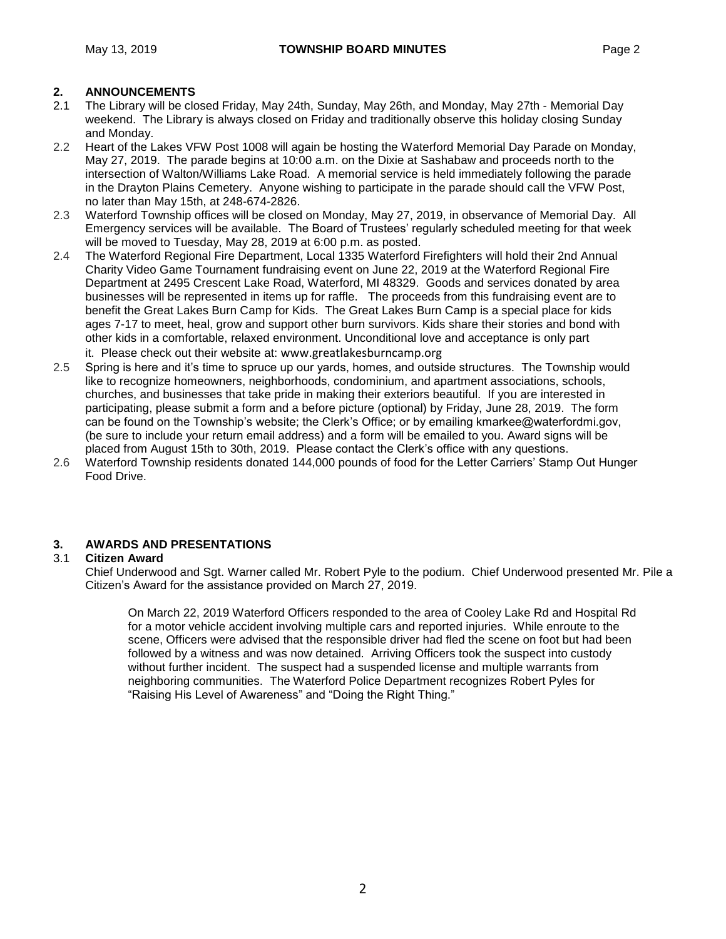- 2.1 The Library will be closed Friday, May 24th, Sunday, May 26th, and Monday, May 27th Memorial Day weekend. The Library is always closed on Friday and traditionally observe this holiday closing Sunday and Monday.
- 2.2 Heart of the Lakes VFW Post 1008 will again be hosting the Waterford Memorial Day Parade on Monday, May 27, 2019. The parade begins at 10:00 a.m. on the Dixie at Sashabaw and proceeds north to the intersection of Walton/Williams Lake Road. A memorial service is held immediately following the parade in the Drayton Plains Cemetery. Anyone wishing to participate in the parade should call the VFW Post, no later than May 15th, at 248-674-2826.
- 2.3 Waterford Township offices will be closed on Monday, May 27, 2019, in observance of Memorial Day. All Emergency services will be available. The Board of Trustees' regularly scheduled meeting for that week will be moved to Tuesday, May 28, 2019 at 6:00 p.m. as posted.
- 2.4 The Waterford Regional Fire Department, Local 1335 Waterford Firefighters will hold their 2nd Annual Charity Video Game Tournament fundraising event on June 22, 2019 at the Waterford Regional Fire Department at 2495 Crescent Lake Road, Waterford, MI 48329. Goods and services donated by area businesses will be represented in items up for raffle. The proceeds from this fundraising event are to benefit the Great Lakes Burn Camp for Kids. The Great Lakes Burn Camp is a special place for kids ages 7-17 to meet, heal, grow and support other burn survivors. Kids share their stories and bond with other kids in a comfortable, relaxed environment. Unconditional love and acceptance is only part it. Please check out their website at: [www.greatlakesburncamp.org](http://www.greatlakesburncamp.org/)
- 2.5 Spring is here and it's time to spruce up our yards, homes, and outside structures. The Township would like to recognize homeowners, neighborhoods, condominium, and apartment associations, schools, churches, and businesses that take pride in making their exteriors beautiful. If you are interested in participating, please submit a form and a before picture (optional) by Friday, June 28, 2019. The form can be found on the Township's website; the Clerk's Office; or by emailing kmarkee@waterfordmi.gov, (be sure to include your return email address) and a form will be emailed to you. Award signs will be placed from August 15th to 30th, 2019. Please contact the Clerk's office with any questions.
- 2.6 Waterford Township residents donated 144,000 pounds of food for the Letter Carriers' Stamp Out Hunger Food Drive.

# **3. AWARDS AND PRESENTATIONS**

# 3.1 **Citizen Award**

Chief Underwood and Sgt. Warner called Mr. Robert Pyle to the podium. Chief Underwood presented Mr. Pile a Citizen's Award for the assistance provided on March 27, 2019.

On March 22, 2019 Waterford Officers responded to the area of Cooley Lake Rd and Hospital Rd for a motor vehicle accident involving multiple cars and reported injuries. While enroute to the scene, Officers were advised that the responsible driver had fled the scene on foot but had been followed by a witness and was now detained. Arriving Officers took the suspect into custody without further incident. The suspect had a suspended license and multiple warrants from neighboring communities. The Waterford Police Department recognizes Robert Pyles for "Raising His Level of Awareness" and "Doing the Right Thing."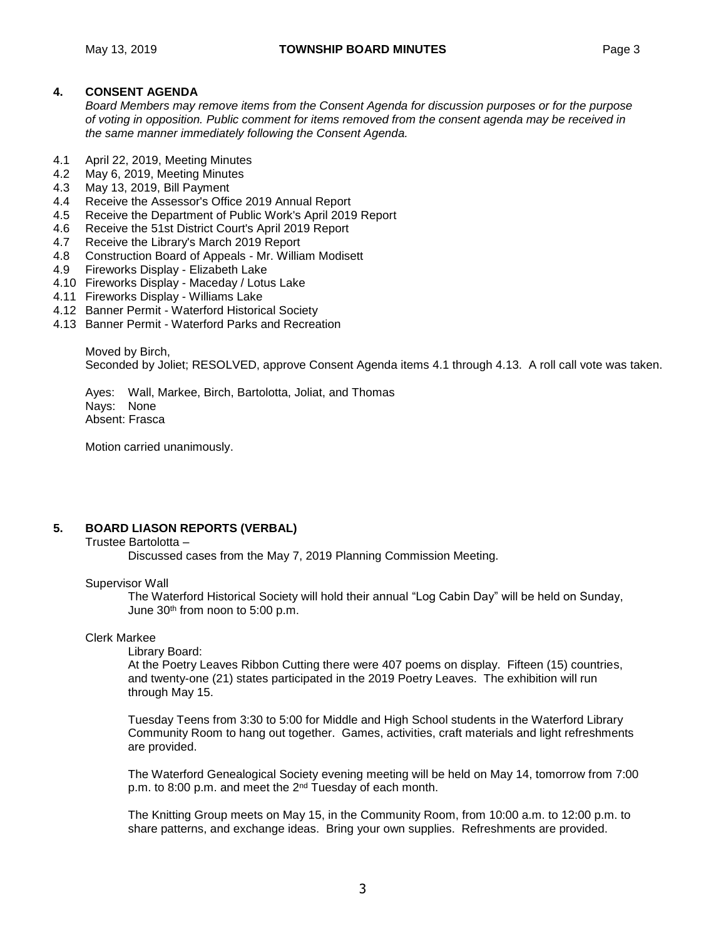# **4. CONSENT AGENDA**

*Board Members may remove items from the Consent Agenda for discussion purposes or for the purpose of voting in opposition. Public comment for items removed from the consent agenda may be received in the same manner immediately following the Consent Agenda.*

- 4.1 April 22, 2019, Meeting Minutes
- 4.2 May 6, 2019, Meeting Minutes
- 4.3 May 13, 2019, Bill Payment
- 4.4 Receive the Assessor's Office 2019 Annual Report
- 4.5 Receive the Department of Public Work's April 2019 Report
- 4.6 Receive the 51st District Court's April 2019 Report
- 4.7 Receive the Library's March 2019 Report
- 4.8 Construction Board of Appeals Mr. William Modisett
- 4.9 Fireworks Display Elizabeth Lake
- 4.10 Fireworks Display Maceday / Lotus Lake
- 4.11 Fireworks Display Williams Lake
- 4.12 Banner Permit Waterford Historical Society
- 4.13 Banner Permit Waterford Parks and Recreation

Moved by Birch, Seconded by Joliet; RESOLVED, approve Consent Agenda items 4.1 through 4.13. A roll call vote was taken.

Ayes: Wall, Markee, Birch, Bartolotta, Joliat, and Thomas Nays: None Absent: Frasca

Motion carried unanimously.

# **5. BOARD LIASON REPORTS (VERBAL)**

Trustee Bartolotta –

Discussed cases from the May 7, 2019 Planning Commission Meeting.

### Supervisor Wall

The Waterford Historical Society will hold their annual "Log Cabin Day" will be held on Sunday, June 30<sup>th</sup> from noon to 5:00 p.m.

### Clerk Markee

Library Board:

At the Poetry Leaves Ribbon Cutting there were 407 poems on display. Fifteen (15) countries, and twenty-one (21) states participated in the 2019 Poetry Leaves. The exhibition will run through May 15.

Tuesday Teens from 3:30 to 5:00 for Middle and High School students in the Waterford Library Community Room to hang out together. Games, activities, craft materials and light refreshments are provided.

The Waterford Genealogical Society evening meeting will be held on May 14, tomorrow from 7:00 p.m. to 8:00 p.m. and meet the 2nd Tuesday of each month.

The Knitting Group meets on May 15, in the Community Room, from 10:00 a.m. to 12:00 p.m. to share patterns, and exchange ideas. Bring your own supplies. Refreshments are provided.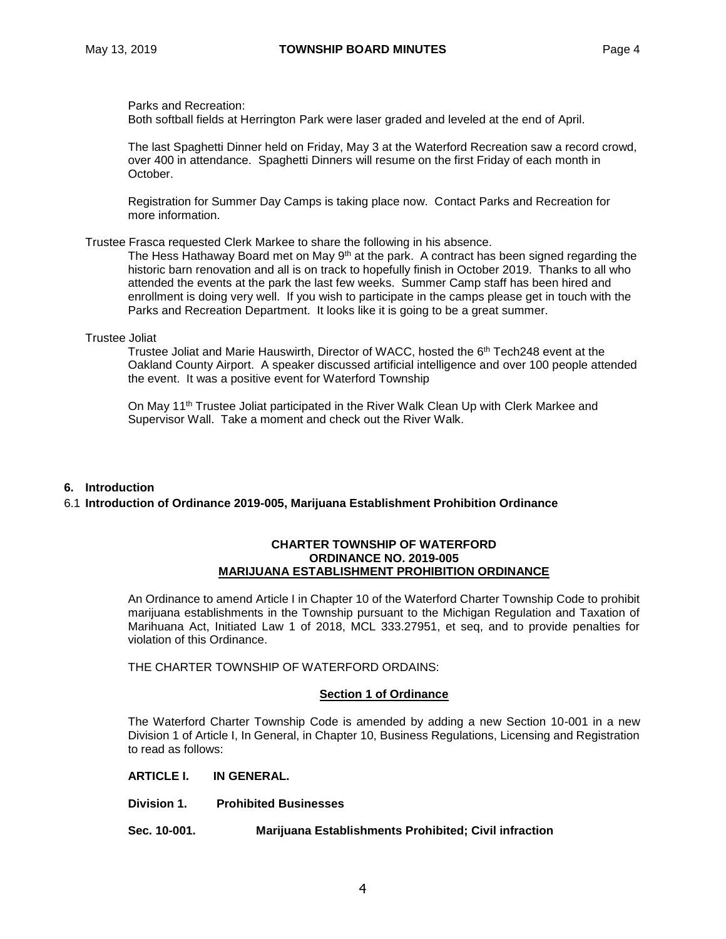Parks and Recreation:

Both softball fields at Herrington Park were laser graded and leveled at the end of April.

The last Spaghetti Dinner held on Friday, May 3 at the Waterford Recreation saw a record crowd, over 400 in attendance. Spaghetti Dinners will resume on the first Friday of each month in October.

Registration for Summer Day Camps is taking place now. Contact Parks and Recreation for more information.

### Trustee Frasca requested Clerk Markee to share the following in his absence.

The Hess Hathaway Board met on May  $9<sup>th</sup>$  at the park. A contract has been signed regarding the historic barn renovation and all is on track to hopefully finish in October 2019. Thanks to all who attended the events at the park the last few weeks. Summer Camp staff has been hired and enrollment is doing very well. If you wish to participate in the camps please get in touch with the Parks and Recreation Department. It looks like it is going to be a great summer.

Trustee Joliat

Trustee Joliat and Marie Hauswirth, Director of WACC, hosted the 6 th Tech248 event at the Oakland County Airport. A speaker discussed artificial intelligence and over 100 people attended the event. It was a positive event for Waterford Township

On May 11<sup>th</sup> Trustee Joliat participated in the River Walk Clean Up with Clerk Markee and Supervisor Wall. Take a moment and check out the River Walk.

### **6. Introduction**

### 6.1 **Introduction of Ordinance 2019-005, Marijuana Establishment Prohibition Ordinance**

#### **CHARTER TOWNSHIP OF WATERFORD ORDINANCE NO. 2019-005 MARIJUANA ESTABLISHMENT PROHIBITION ORDINANCE**

An Ordinance to amend Article I in Chapter 10 of the Waterford Charter Township Code to prohibit marijuana establishments in the Township pursuant to the Michigan Regulation and Taxation of Marihuana Act, Initiated Law 1 of 2018, MCL 333.27951, et seq, and to provide penalties for violation of this Ordinance.

THE CHARTER TOWNSHIP OF WATERFORD ORDAINS:

### **Section 1 of Ordinance**

The Waterford Charter Township Code is amended by adding a new Section 10-001 in a new Division 1 of Article I, In General, in Chapter 10, Business Regulations, Licensing and Registration to read as follows:

**ARTICLE I. IN GENERAL.**

- **Division 1. Prohibited Businesses**
- **Sec. 10-001. Marijuana Establishments Prohibited; Civil infraction**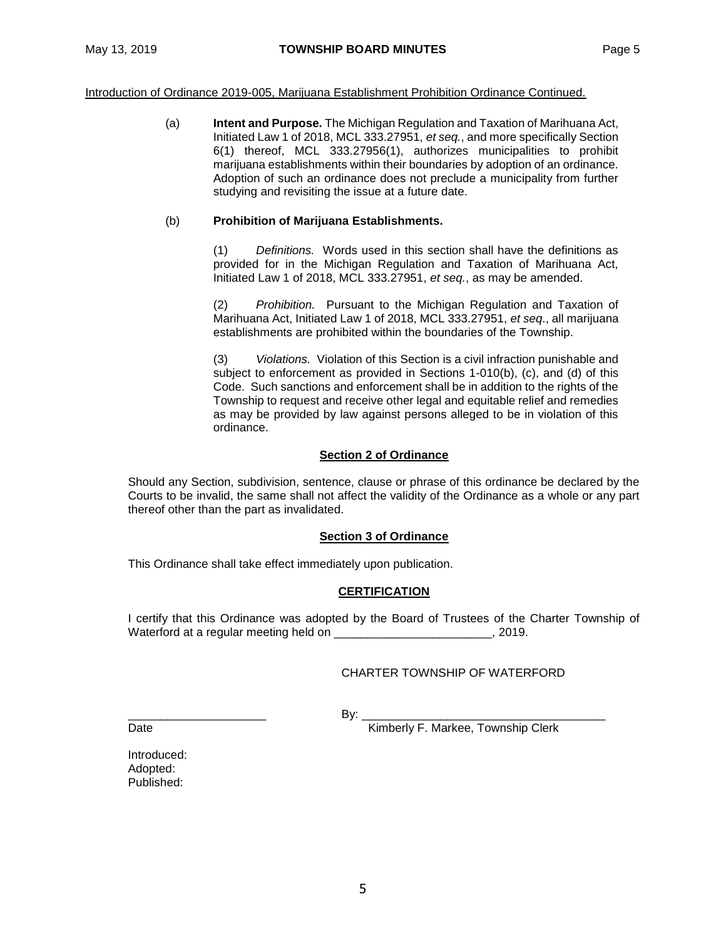Introduction of Ordinance 2019-005, Marijuana Establishment Prohibition Ordinance Continued.

(a) **Intent and Purpose.** The Michigan Regulation and Taxation of Marihuana Act, Initiated Law 1 of 2018, MCL 333.27951, *et seq.*, and more specifically Section 6(1) thereof, MCL 333.27956(1), authorizes municipalities to prohibit marijuana establishments within their boundaries by adoption of an ordinance. Adoption of such an ordinance does not preclude a municipality from further studying and revisiting the issue at a future date.

### (b) **Prohibition of Marijuana Establishments.**

(1) *Definitions.* Words used in this section shall have the definitions as provided for in the Michigan Regulation and Taxation of Marihuana Act, Initiated Law 1 of 2018, MCL 333.27951, *et seq.*, as may be amended.

(2) *Prohibition.* Pursuant to the Michigan Regulation and Taxation of Marihuana Act, Initiated Law 1 of 2018, MCL 333.27951, *et seq*., all marijuana establishments are prohibited within the boundaries of the Township.

(3) *Violations.* Violation of this Section is a civil infraction punishable and subject to enforcement as provided in Sections 1-010(b), (c), and (d) of this Code. Such sanctions and enforcement shall be in addition to the rights of the Township to request and receive other legal and equitable relief and remedies as may be provided by law against persons alleged to be in violation of this ordinance.

### **Section 2 of Ordinance**

Should any Section, subdivision, sentence, clause or phrase of this ordinance be declared by the Courts to be invalid, the same shall not affect the validity of the Ordinance as a whole or any part thereof other than the part as invalidated.

### **Section 3 of Ordinance**

This Ordinance shall take effect immediately upon publication.

# **CERTIFICATION**

I certify that this Ordinance was adopted by the Board of Trustees of the Charter Township of Waterford at a regular meeting held on \_\_\_\_\_\_\_\_\_\_\_\_\_\_\_\_\_\_\_\_\_\_\_\_, 2019.

# CHARTER TOWNSHIP OF WATERFORD

\_\_\_\_\_\_\_\_\_\_\_\_\_\_\_\_\_\_\_\_\_ By: \_\_\_\_\_\_\_\_\_\_\_\_\_\_\_\_\_\_\_\_\_\_\_\_\_\_\_\_\_\_\_\_\_\_\_\_\_

Date **Contract Contract Contract Contract Contract Contract Contract Contract Contract Contract Contract Contract Contract Contract Contract Contract Contract Contract Contract Contract Contract Contract Contract Contract** 

Introduced: Adopted: Published: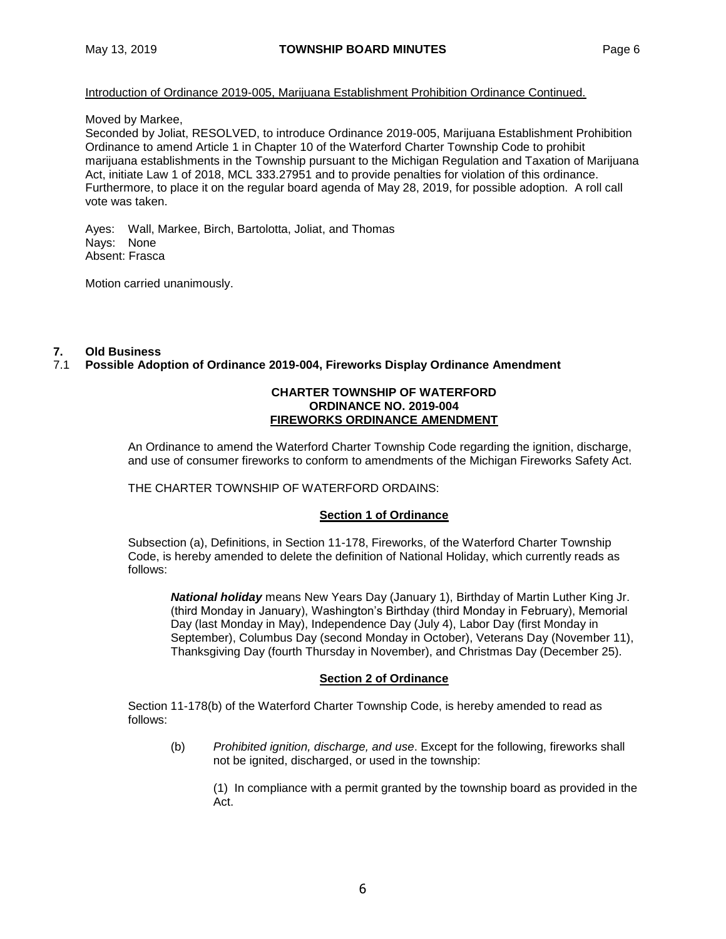### Introduction of Ordinance 2019-005, Marijuana Establishment Prohibition Ordinance Continued.

### Moved by Markee,

Seconded by Joliat, RESOLVED, to introduce Ordinance 2019-005, Marijuana Establishment Prohibition Ordinance to amend Article 1 in Chapter 10 of the Waterford Charter Township Code to prohibit marijuana establishments in the Township pursuant to the Michigan Regulation and Taxation of Marijuana Act, initiate Law 1 of 2018, MCL 333.27951 and to provide penalties for violation of this ordinance. Furthermore, to place it on the regular board agenda of May 28, 2019, for possible adoption. A roll call vote was taken.

Ayes: Wall, Markee, Birch, Bartolotta, Joliat, and Thomas Nays: None Absent: Frasca

Motion carried unanimously.

# **7. Old Business**

# 7.1 **Possible Adoption of Ordinance 2019-004, Fireworks Display Ordinance Amendment**

### **CHARTER TOWNSHIP OF WATERFORD ORDINANCE NO. 2019-004 FIREWORKS ORDINANCE AMENDMENT**

An Ordinance to amend the Waterford Charter Township Code regarding the ignition, discharge, and use of consumer fireworks to conform to amendments of the Michigan Fireworks Safety Act.

# THE CHARTER TOWNSHIP OF WATERFORD ORDAINS:

# **Section 1 of Ordinance**

Subsection (a), Definitions, in Section 11-178, Fireworks, of the Waterford Charter Township Code, is hereby amended to delete the definition of National Holiday, which currently reads as follows:

*National holiday* means New Years Day (January 1), Birthday of Martin Luther King Jr. (third Monday in January), Washington's Birthday (third Monday in February), Memorial Day (last Monday in May), Independence Day (July 4), Labor Day (first Monday in September), Columbus Day (second Monday in October), Veterans Day (November 11), Thanksgiving Day (fourth Thursday in November), and Christmas Day (December 25).

### **Section 2 of Ordinance**

Section 11-178(b) of the Waterford Charter Township Code, is hereby amended to read as follows:

(b) *Prohibited ignition, discharge, and use*. Except for the following, fireworks shall not be ignited, discharged, or used in the township:

(1) In compliance with a permit granted by the township board as provided in the Act.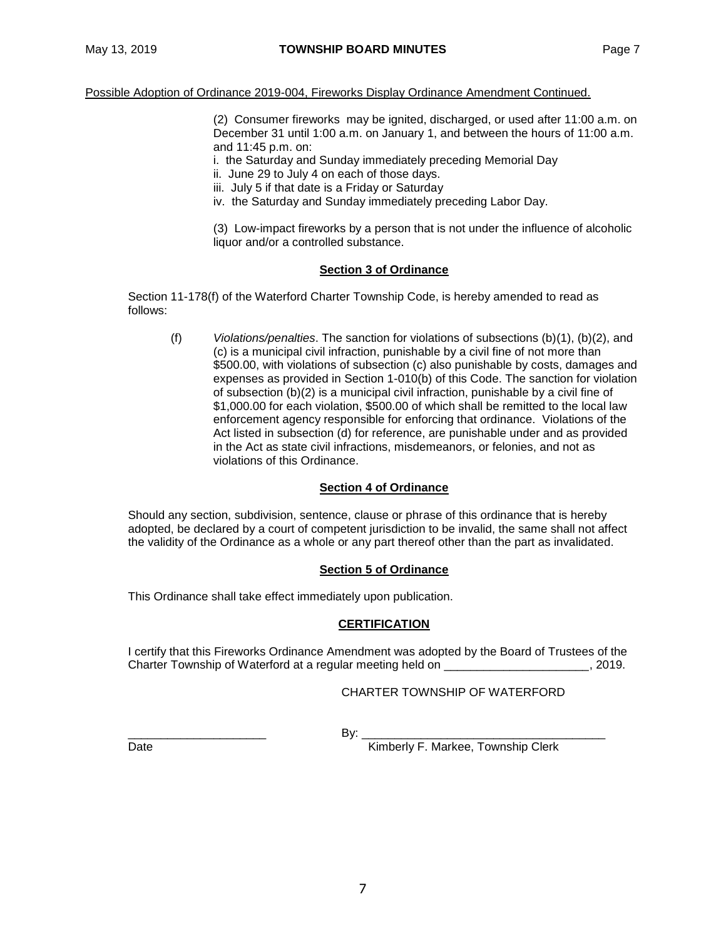(2) Consumer fireworks may be ignited, discharged, or used after 11:00 a.m. on December 31 until 1:00 a.m. on January 1, and between the hours of 11:00 a.m. and 11:45 p.m. on:

i. the Saturday and Sunday immediately preceding Memorial Day

- ii. June 29 to July 4 on each of those days.
- iii. July 5 if that date is a Friday or Saturday
- iv. the Saturday and Sunday immediately preceding Labor Day.

(3) Low-impact fireworks by a person that is not under the influence of alcoholic liquor and/or a controlled substance.

### **Section 3 of Ordinance**

Section 11-178(f) of the Waterford Charter Township Code, is hereby amended to read as follows:

(f) *Violations/penalties*. The sanction for violations of subsections (b)(1), (b)(2), and (c) is a municipal civil infraction, punishable by a civil fine of not more than \$500.00, with violations of subsection (c) also punishable by costs, damages and expenses as provided in Section 1-010(b) of this Code. The sanction for violation of subsection (b)(2) is a municipal civil infraction, punishable by a civil fine of \$1,000.00 for each violation, \$500.00 of which shall be remitted to the local law enforcement agency responsible for enforcing that ordinance. Violations of the Act listed in subsection (d) for reference, are punishable under and as provided in the Act as state civil infractions, misdemeanors, or felonies, and not as violations of this Ordinance.

# **Section 4 of Ordinance**

Should any section, subdivision, sentence, clause or phrase of this ordinance that is hereby adopted, be declared by a court of competent jurisdiction to be invalid, the same shall not affect the validity of the Ordinance as a whole or any part thereof other than the part as invalidated.

### **Section 5 of Ordinance**

This Ordinance shall take effect immediately upon publication.

# **CERTIFICATION**

I certify that this Fireworks Ordinance Amendment was adopted by the Board of Trustees of the Charter Township of Waterford at a regular meeting held on \_\_\_\_\_\_\_\_\_\_\_\_\_\_\_\_\_\_\_\_\_\_, 2019.

# CHARTER TOWNSHIP OF WATERFORD

\_\_\_\_\_\_\_\_\_\_\_\_\_\_\_\_\_\_\_\_\_ By: \_\_\_\_\_\_\_\_\_\_\_\_\_\_\_\_\_\_\_\_\_\_\_\_\_\_\_\_\_\_\_\_\_\_\_\_\_ Date **Date** Kimberly F. Markee, Township Clerk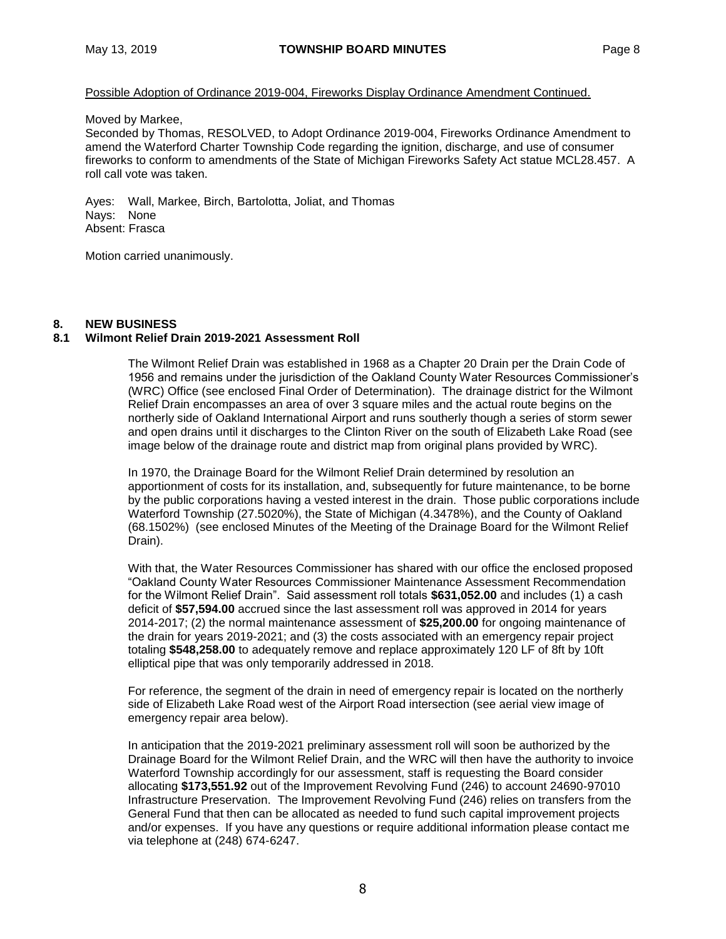### Possible Adoption of Ordinance 2019-004, Fireworks Display Ordinance Amendment Continued.

#### Moved by Markee,

Seconded by Thomas, RESOLVED, to Adopt Ordinance 2019-004, Fireworks Ordinance Amendment to amend the Waterford Charter Township Code regarding the ignition, discharge, and use of consumer fireworks to conform to amendments of the State of Michigan Fireworks Safety Act statue MCL28.457. A roll call vote was taken.

Ayes: Wall, Markee, Birch, Bartolotta, Joliat, and Thomas Nays: None Absent: Frasca

Motion carried unanimously.

### **8. NEW BUSINESS**

### **8.1 Wilmont Relief Drain 2019-2021 Assessment Roll**

The Wilmont Relief Drain was established in 1968 as a Chapter 20 Drain per the Drain Code of 1956 and remains under the jurisdiction of the Oakland County Water Resources Commissioner's (WRC) Office (see enclosed Final Order of Determination). The drainage district for the Wilmont Relief Drain encompasses an area of over 3 square miles and the actual route begins on the northerly side of Oakland International Airport and runs southerly though a series of storm sewer and open drains until it discharges to the Clinton River on the south of Elizabeth Lake Road (see image below of the drainage route and district map from original plans provided by WRC).

In 1970, the Drainage Board for the Wilmont Relief Drain determined by resolution an apportionment of costs for its installation, and, subsequently for future maintenance, to be borne by the public corporations having a vested interest in the drain. Those public corporations include Waterford Township (27.5020%), the State of Michigan (4.3478%), and the County of Oakland (68.1502%) (see enclosed Minutes of the Meeting of the Drainage Board for the Wilmont Relief Drain).

With that, the Water Resources Commissioner has shared with our office the enclosed proposed "Oakland County Water Resources Commissioner Maintenance Assessment Recommendation for the Wilmont Relief Drain". Said assessment roll totals **\$631,052.00** and includes (1) a cash deficit of **\$57,594.00** accrued since the last assessment roll was approved in 2014 for years 2014-2017; (2) the normal maintenance assessment of **\$25,200.00** for ongoing maintenance of the drain for years 2019-2021; and (3) the costs associated with an emergency repair project totaling **\$548,258.00** to adequately remove and replace approximately 120 LF of 8ft by 10ft elliptical pipe that was only temporarily addressed in 2018.

For reference, the segment of the drain in need of emergency repair is located on the northerly side of Elizabeth Lake Road west of the Airport Road intersection (see aerial view image of emergency repair area below).

In anticipation that the 2019-2021 preliminary assessment roll will soon be authorized by the Drainage Board for the Wilmont Relief Drain, and the WRC will then have the authority to invoice Waterford Township accordingly for our assessment, staff is requesting the Board consider allocating **\$173,551.92** out of the Improvement Revolving Fund (246) to account 24690-97010 Infrastructure Preservation. The Improvement Revolving Fund (246) relies on transfers from the General Fund that then can be allocated as needed to fund such capital improvement projects and/or expenses. If you have any questions or require additional information please contact me via telephone at (248) 674-6247.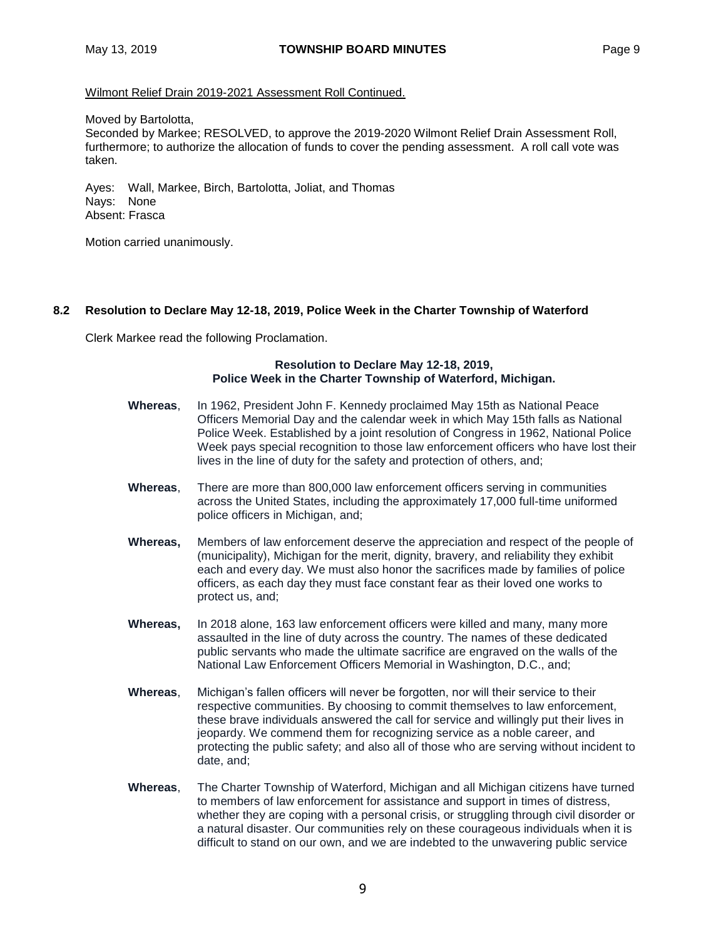### Wilmont Relief Drain 2019-2021 Assessment Roll Continued.

#### Moved by Bartolotta,

Seconded by Markee; RESOLVED, to approve the 2019-2020 Wilmont Relief Drain Assessment Roll, furthermore; to authorize the allocation of funds to cover the pending assessment. A roll call vote was taken.

Ayes: Wall, Markee, Birch, Bartolotta, Joliat, and Thomas Nays: None Absent: Frasca

Motion carried unanimously.

### **8.2 Resolution to Declare May 12-18, 2019, Police Week in the Charter Township of Waterford**

Clerk Markee read the following Proclamation.

### **Resolution to Declare May 12-18, 2019, Police Week in the Charter Township of Waterford, Michigan.**

- **Whereas**, In 1962, President John F. Kennedy proclaimed May 15th as National Peace Officers Memorial Day and the calendar week in which May 15th falls as National Police Week. Established by a joint resolution of Congress in 1962, National Police Week pays special recognition to those law enforcement officers who have lost their lives in the line of duty for the safety and protection of others, and;
- **Whereas**, There are more than 800,000 law enforcement officers serving in communities across the United States, including the approximately 17,000 full-time uniformed police officers in Michigan, and;
- **Whereas,** Members of law enforcement deserve the appreciation and respect of the people of (municipality), Michigan for the merit, dignity, bravery, and reliability they exhibit each and every day. We must also honor the sacrifices made by families of police officers, as each day they must face constant fear as their loved one works to protect us, and;
- **Whereas,** In 2018 alone, 163 law enforcement officers were killed and many, many more assaulted in the line of duty across the country. The names of these dedicated public servants who made the ultimate sacrifice are engraved on the walls of the National Law Enforcement Officers Memorial in Washington, D.C., and;
- **Whereas**, Michigan's fallen officers will never be forgotten, nor will their service to their respective communities. By choosing to commit themselves to law enforcement, these brave individuals answered the call for service and willingly put their lives in jeopardy. We commend them for recognizing service as a noble career, and protecting the public safety; and also all of those who are serving without incident to date, and;
- **Whereas**, The Charter Township of Waterford, Michigan and all Michigan citizens have turned to members of law enforcement for assistance and support in times of distress, whether they are coping with a personal crisis, or struggling through civil disorder or a natural disaster. Our communities rely on these courageous individuals when it is difficult to stand on our own, and we are indebted to the unwavering public service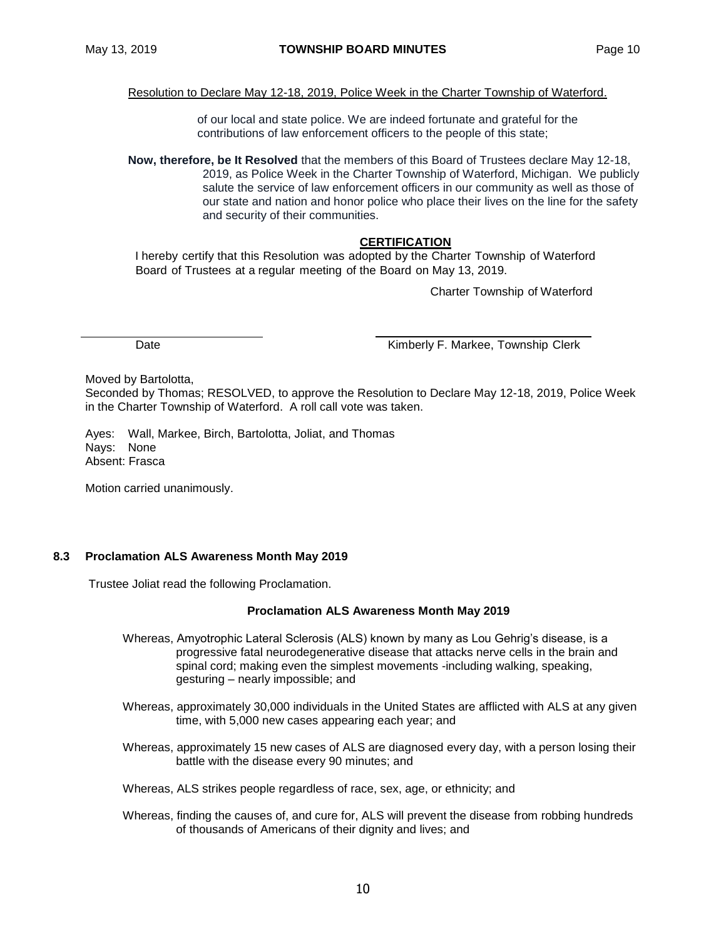Resolution to Declare May 12-18, 2019, Police Week in the Charter Township of Waterford.

of our local and state police. We are indeed fortunate and grateful for the contributions of law enforcement officers to the people of this state;

**Now, therefore, be It Resolved** that the members of this Board of Trustees declare May 12-18, 2019, as Police Week in the Charter Township of Waterford, Michigan. We publicly salute the service of law enforcement officers in our community as well as those of our state and nation and honor police who place their lives on the line for the safety and security of their communities.

### **CERTIFICATION**

I hereby certify that this Resolution was adopted by the Charter Township of Waterford Board of Trustees at a regular meeting of the Board on May 13, 2019.

Charter Township of Waterford

Date **Contract Contract Contract Contract Contract Contract Contract Contract Contract Contract Contract Contract Contract Contract Contract Contract Contract Contract Contract Contract Contract Contract Contract Contract** 

Moved by Bartolotta,

Seconded by Thomas; RESOLVED, to approve the Resolution to Declare May 12-18, 2019, Police Week in the Charter Township of Waterford. A roll call vote was taken.

Ayes: Wall, Markee, Birch, Bartolotta, Joliat, and Thomas Nays: None Absent: Frasca

Motion carried unanimously.

### **8.3 Proclamation ALS Awareness Month May 2019**

Trustee Joliat read the following Proclamation.

### **Proclamation ALS Awareness Month May 2019**

- Whereas, Amyotrophic Lateral Sclerosis (ALS) known by many as Lou Gehrig's disease, is a progressive fatal neurodegenerative disease that attacks nerve cells in the brain and spinal cord; making even the simplest movements -including walking, speaking, gesturing – nearly impossible; and
- Whereas, approximately 30,000 individuals in the United States are afflicted with ALS at any given time, with 5,000 new cases appearing each year; and
- Whereas, approximately 15 new cases of ALS are diagnosed every day, with a person losing their battle with the disease every 90 minutes; and
- Whereas, ALS strikes people regardless of race, sex, age, or ethnicity; and
- Whereas, finding the causes of, and cure for, ALS will prevent the disease from robbing hundreds of thousands of Americans of their dignity and lives; and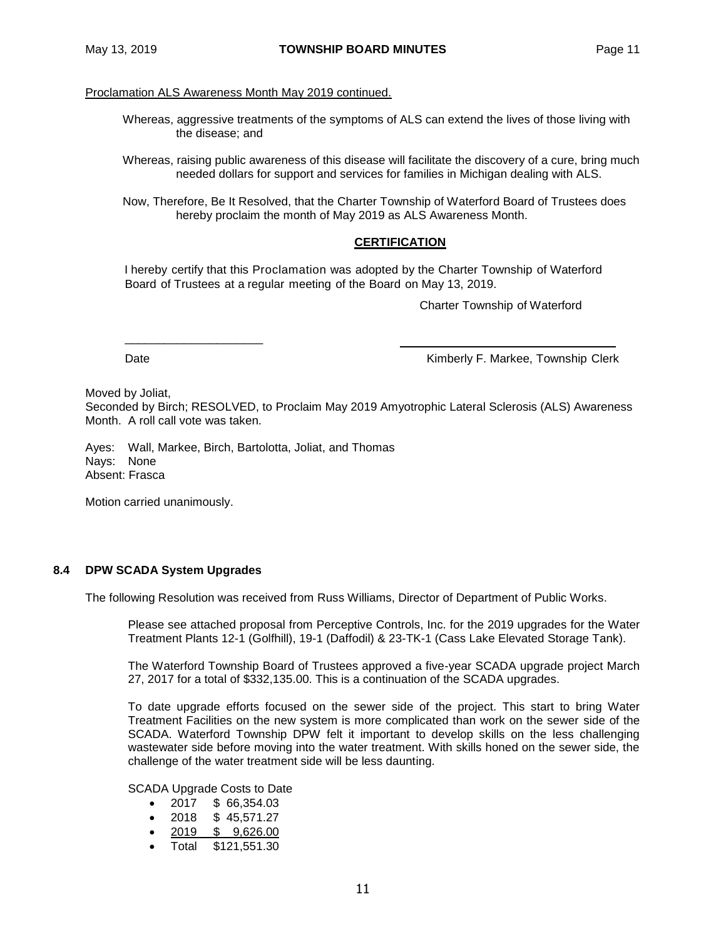# Proclamation ALS Awareness Month May 2019 continued.

- Whereas, aggressive treatments of the symptoms of ALS can extend the lives of those living with the disease; and
- Whereas, raising public awareness of this disease will facilitate the discovery of a cure, bring much needed dollars for support and services for families in Michigan dealing with ALS.

Now, Therefore, Be It Resolved, that the Charter Township of Waterford Board of Trustees does hereby proclaim the month of May 2019 as ALS Awareness Month.

### **CERTIFICATION**

I hereby certify that this Proclamation was adopted by the Charter Township of Waterford Board of Trustees at a regular meeting of the Board on May 13, 2019.

Charter Township of Waterford

\_\_\_\_\_\_\_\_\_\_\_\_\_\_\_\_\_\_\_\_\_

Date **Contract Contract Contract Contract Contract Contract Contract Contract Contract Contract Contract Contract Contract Contract Contract Contract Contract Contract Contract Contract Contract Contract Contract Contract** 

Moved by Joliat,

Seconded by Birch; RESOLVED, to Proclaim May 2019 Amyotrophic Lateral Sclerosis (ALS) Awareness Month. A roll call vote was taken.

Ayes: Wall, Markee, Birch, Bartolotta, Joliat, and Thomas Nays: None Absent: Frasca

Motion carried unanimously.

### **8.4 DPW SCADA System Upgrades**

The following Resolution was received from Russ Williams, Director of Department of Public Works.

Please see attached proposal from Perceptive Controls, Inc. for the 2019 upgrades for the Water Treatment Plants 12-1 (Golfhill), 19-1 (Daffodil) & 23-TK-1 (Cass Lake Elevated Storage Tank).

The Waterford Township Board of Trustees approved a five-year SCADA upgrade project March 27, 2017 for a total of \$332,135.00. This is a continuation of the SCADA upgrades.

To date upgrade efforts focused on the sewer side of the project. This start to bring Water Treatment Facilities on the new system is more complicated than work on the sewer side of the SCADA. Waterford Township DPW felt it important to develop skills on the less challenging wastewater side before moving into the water treatment. With skills honed on the sewer side, the challenge of the water treatment side will be less daunting.

SCADA Upgrade Costs to Date

- 2017 \$ 66,354.03
- $\bullet$  2018 \$ 45.571.27
- 2019 \$ 9,626.00
- Total \$121,551.30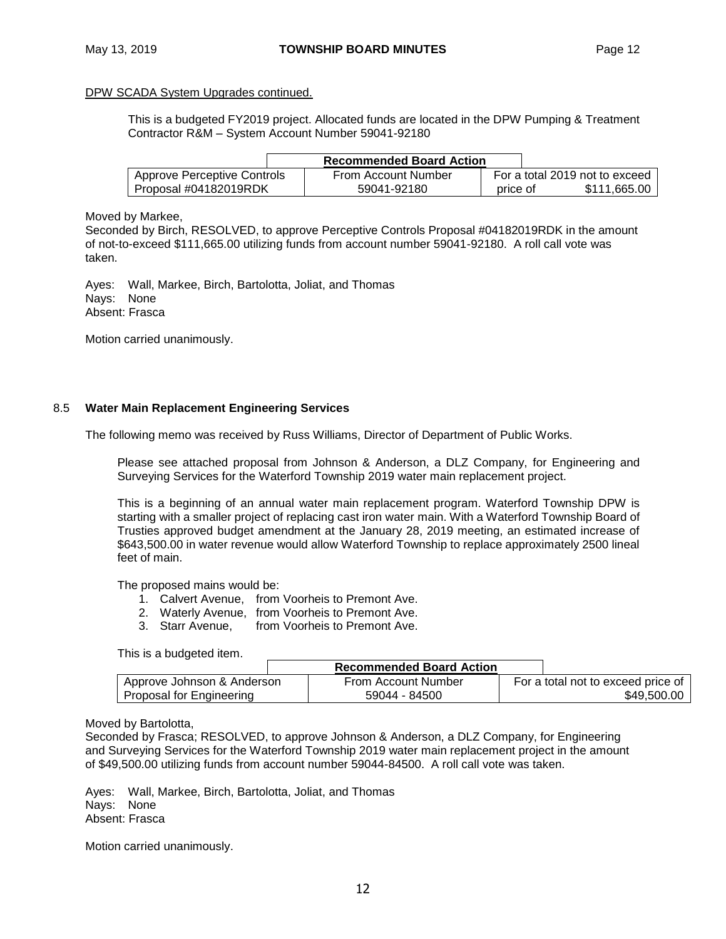### DPW SCADA System Upgrades continued.

This is a budgeted FY2019 project. Allocated funds are located in the DPW Pumping & Treatment Contractor R&M – System Account Number 59041-92180

|                             | <b>Recommended Board Action</b> |          |                                |
|-----------------------------|---------------------------------|----------|--------------------------------|
| Approve Perceptive Controls | From Account Number             |          | For a total 2019 not to exceed |
| Proposal #04182019RDK       | 59041-92180                     | price of | \$111.665.00                   |

Moved by Markee,

Seconded by Birch, RESOLVED, to approve Perceptive Controls Proposal #04182019RDK in the amount of not-to-exceed \$111,665.00 utilizing funds from account number 59041-92180. A roll call vote was taken.

Ayes: Wall, Markee, Birch, Bartolotta, Joliat, and Thomas Nays: None Absent: Frasca

Motion carried unanimously.

### 8.5 **Water Main Replacement Engineering Services**

The following memo was received by Russ Williams, Director of Department of Public Works.

Please see attached proposal from Johnson & Anderson, a DLZ Company, for Engineering and Surveying Services for the Waterford Township 2019 water main replacement project.

This is a beginning of an annual water main replacement program. Waterford Township DPW is starting with a smaller project of replacing cast iron water main. With a Waterford Township Board of Trusties approved budget amendment at the January 28, 2019 meeting, an estimated increase of \$643,500.00 in water revenue would allow Waterford Township to replace approximately 2500 lineal feet of main.

The proposed mains would be:

- 1. Calvert Avenue, from Voorheis to Premont Ave.
- 2. Waterly Avenue, from Voorheis to Premont Ave.<br>3. Starr Avenue, from Voorheis to Premont Ave.
- from Voorheis to Premont Ave.

This is a budgeted item.

|                            | <b>Recommended Board Action</b> |                                    |
|----------------------------|---------------------------------|------------------------------------|
| Approve Johnson & Anderson | From Account Number             | For a total not to exceed price of |
| Proposal for Engineering   | 59044 - 84500                   | \$49.500.00                        |

### Moved by Bartolotta,

Seconded by Frasca; RESOLVED, to approve Johnson & Anderson, a DLZ Company, for Engineering and Surveying Services for the Waterford Township 2019 water main replacement project in the amount of \$49,500.00 utilizing funds from account number 59044-84500. A roll call vote was taken.

Ayes: Wall, Markee, Birch, Bartolotta, Joliat, and Thomas Nays: None Absent: Frasca

Motion carried unanimously.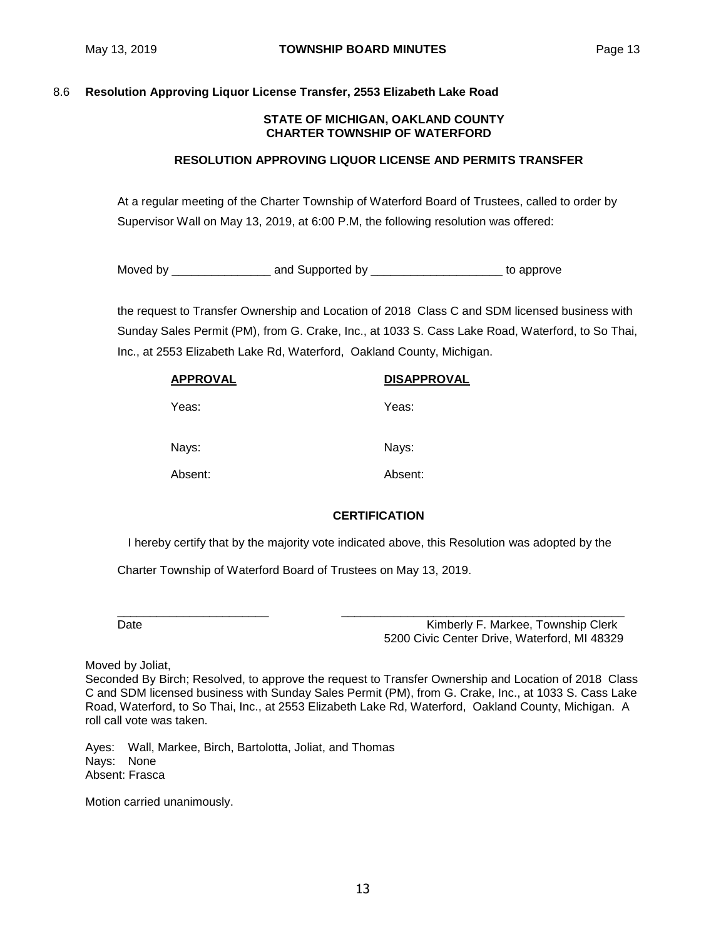# 8.6 **Resolution Approving Liquor License Transfer, 2553 Elizabeth Lake Road**

### **STATE OF MICHIGAN, OAKLAND COUNTY CHARTER TOWNSHIP OF WATERFORD**

### **RESOLUTION APPROVING LIQUOR LICENSE AND PERMITS TRANSFER**

At a regular meeting of the Charter Township of Waterford Board of Trustees, called to order by Supervisor Wall on May 13, 2019, at 6:00 P.M, the following resolution was offered:

Moved by \_\_\_\_\_\_\_\_\_\_\_\_\_\_\_ and Supported by \_\_\_\_\_\_\_\_\_\_\_\_\_\_\_\_\_\_\_\_ to approve

the request to Transfer Ownership and Location of 2018 Class C and SDM licensed business with Sunday Sales Permit (PM), from G. Crake, Inc., at 1033 S. Cass Lake Road, Waterford, to So Thai, Inc., at 2553 Elizabeth Lake Rd, Waterford, Oakland County, Michigan.

| <b>APPROVAL</b> | <b>DISAPPROVAL</b> |
|-----------------|--------------------|
| Yeas:           | Yeas:              |
| Nays:           | Nays:              |
| Absent:         | Absent:            |

# **CERTIFICATION**

I hereby certify that by the majority vote indicated above, this Resolution was adopted by the

\_\_\_\_\_\_\_\_\_\_\_\_\_\_\_\_\_\_\_\_\_\_\_ \_\_\_\_\_\_\_\_\_\_\_\_\_\_\_\_\_\_\_\_\_\_\_\_\_\_\_\_\_\_\_\_\_\_\_\_\_\_\_\_\_\_\_

Charter Township of Waterford Board of Trustees on May 13, 2019.

Date **Contract Contract Contract Contract Contract Contract Contract Contract Contract Contract Contract Contract Contract Contract Contract Contract Contract Contract Contract Contract Contract Contract Contract Contract** 5200 Civic Center Drive, Waterford, MI 48329

Moved by Joliat,

Seconded By Birch; Resolved, to approve the request to Transfer Ownership and Location of 2018 Class C and SDM licensed business with Sunday Sales Permit (PM), from G. Crake, Inc., at 1033 S. Cass Lake Road, Waterford, to So Thai, Inc., at 2553 Elizabeth Lake Rd, Waterford, Oakland County, Michigan. A roll call vote was taken.

Ayes: Wall, Markee, Birch, Bartolotta, Joliat, and Thomas Nays: None Absent: Frasca

Motion carried unanimously.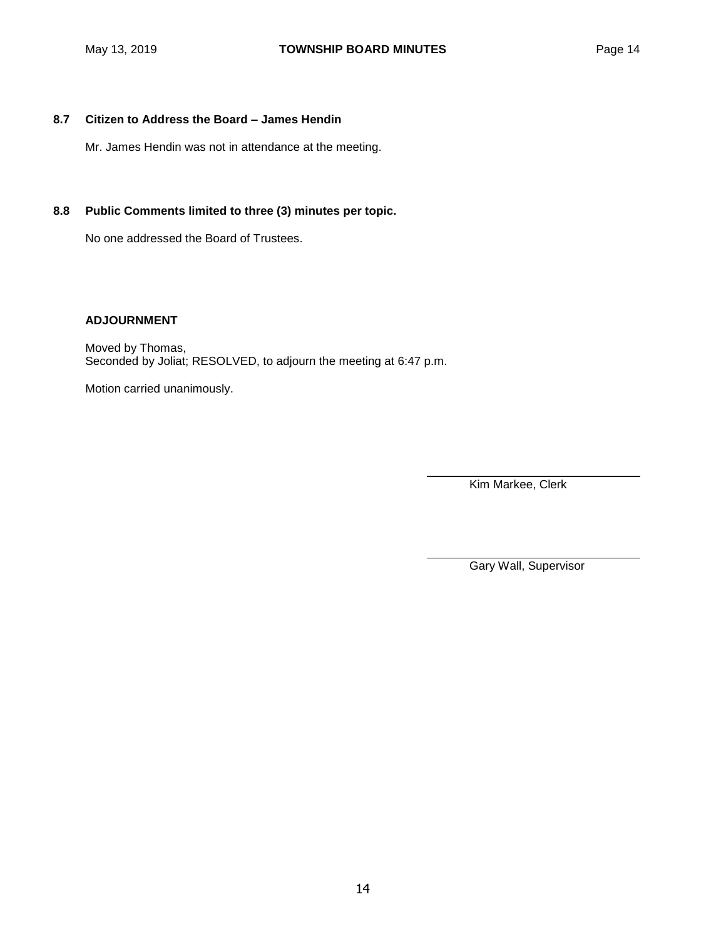# **8.7 Citizen to Address the Board – James Hendin**

Mr. James Hendin was not in attendance at the meeting.

# **8.8 Public Comments limited to three (3) minutes per topic.**

No one addressed the Board of Trustees.

# **ADJOURNMENT**

Moved by Thomas, Seconded by Joliat; RESOLVED, to adjourn the meeting at 6:47 p.m.

Motion carried unanimously.

Kim Markee, Clerk

Gary Wall, Supervisor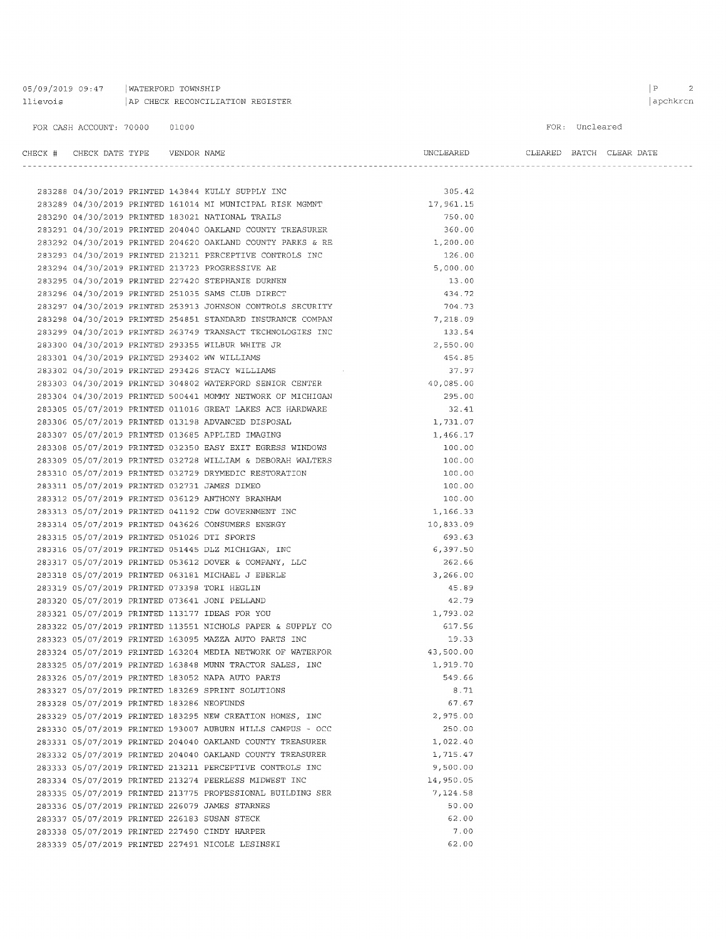| 05/09/2019 09:47 | WATERFORD TOWNSHIP               |
|------------------|----------------------------------|
| llievois         | AP CHECK RECONCILIATION REGISTER |

 $\begin{array}{ccc} \mid & \text{P} & \text{ } & \text{ } & \text{ } \\ \end{array}$ 

#### FOR: Uncleared

#### $\begin{tabular}{lllllll} \bf{CHECK} & \tt{\#} & \tt{CHECK} & \tt{DATE} & \tt{TFPE} & \tt{VENDOR} & \tt{NAME} \end{tabular}$

UNCLEARED CLEARED BATCH CLEAR DATE 

|                                             |  | 283288 04/30/2019 PRINTED 143844 KULLY SUPPLY INC          | 305.42    |
|---------------------------------------------|--|------------------------------------------------------------|-----------|
|                                             |  | 283289 04/30/2019 PRINTED 161014 MI MUNICIPAL RISK MGMNT   | 17,961.15 |
|                                             |  | 283290 04/30/2019 PRINTED 183021 NATIONAL TRAILS           | 750.00    |
|                                             |  | 283291 04/30/2019 PRINTED 204040 OAKLAND COUNTY TREASURER  | 360.00    |
|                                             |  | 283292 04/30/2019 PRINTED 204620 OAKLAND COUNTY PARKS & RE | 1,200.00  |
|                                             |  | 283293 04/30/2019 PRINTED 213211 PERCEPTIVE CONTROLS INC   | 126.00    |
|                                             |  | 283294 04/30/2019 PRINTED 213723 PROGRESSIVE AE            | 5,000.00  |
|                                             |  | 283295 04/30/2019 PRINTED 227420 STEPHANIE DURNEN          | 13.00     |
|                                             |  | 283296 04/30/2019 PRINTED 251035 SAMS CLUB DIRECT          | 434.72    |
|                                             |  | 283297 04/30/2019 PRINTED 253913 JOHNSON CONTROLS SECURITY | 704.73    |
|                                             |  | 283298 04/30/2019 PRINTED 254851 STANDARD INSURANCE COMPAN | 7,218.09  |
|                                             |  | 283299 04/30/2019 PRINTED 263749 TRANSACT TECHNOLOGIES INC | 133.54    |
|                                             |  | 283300 04/30/2019 PRINTED 293355 WILBUR WHITE JR           | 2,550.00  |
|                                             |  | 283301 04/30/2019 PRINTED 293402 WW WILLIAMS               | 454.85    |
|                                             |  | 283302 04/30/2019 PRINTED 293426 STACY WILLIAMS            | 37.97     |
|                                             |  | 283303 04/30/2019 PRINTED 304802 WATERFORD SENIOR CENTER   | 40,085.00 |
|                                             |  | 283304 04/30/2019 PRINTED 500441 MOMMY NETWORK OF MICHIGAN | 295.00    |
|                                             |  | 283305 05/07/2019 PRINTED 011016 GREAT LAKES ACE HARDWARE  | 32.41     |
|                                             |  | 283306 05/07/2019 PRINTED 013198 ADVANCED DISPOSAL         | 1,731.07  |
|                                             |  | 283307 05/07/2019 PRINTED 013685 APPLIED IMAGING           | 1,466.17  |
|                                             |  | 283308 05/07/2019 PRINTED 032350 EASY EXIT EGRESS WINDOWS  | 100.00    |
|                                             |  | 283309 05/07/2019 PRINTED 032728 WILLIAM & DEBORAH WALTERS | 100.00    |
|                                             |  | 283310 05/07/2019 PRINTED 032729 DRYMEDIC RESTORATION      | 100.00    |
|                                             |  | 283311 05/07/2019 PRINTED 032731 JAMES DIMEO               | 100.00    |
|                                             |  | 283312 05/07/2019 PRINTED 036129 ANTHONY BRANHAM           | 100.00    |
|                                             |  | 283313 05/07/2019 PRINTED 041192 CDW GOVERNMENT INC        | 1,166.33  |
|                                             |  | 283314 05/07/2019 PRINTED 043626 CONSUMERS ENERGY          | 10,833.09 |
| 283315 05/07/2019 PRINTED 051026 DTI SPORTS |  |                                                            | 693.63    |
|                                             |  | 283316 05/07/2019 PRINTED 051445 DLZ MICHIGAN, INC         | 6,397.50  |
|                                             |  | 283317 05/07/2019 PRINTED 053612 DOVER & COMPANY, LLC      | 262.66    |
|                                             |  | 283318 05/07/2019 PRINTED 063181 MICHAEL J EBERLE          | 3,266.00  |
|                                             |  | 283319 05/07/2019 PRINTED 073398 TORI HEGLIN               | 45.89     |
|                                             |  | 283320 05/07/2019 PRINTED 073641 JONI PELLAND              | 42.79     |
|                                             |  | 283321 05/07/2019 PRINTED 113177 IDEAS FOR YOU             | 1,793.02  |
|                                             |  | 283322 05/07/2019 PRINTED 113551 NICHOLS PAPER & SUPPLY CO | 617.56    |
|                                             |  | 283323 05/07/2019 PRINTED 163095 MAZZA AUTO PARTS INC      | 19.33     |
|                                             |  | 283324 05/07/2019 PRINTED 163204 MEDIA NETWORK OF WATERFOR | 43,500.00 |
|                                             |  | 283325 05/07/2019 PRINTED 163848 MUNN TRACTOR SALES, INC   | 1,919.70  |
|                                             |  | 283326 05/07/2019 PRINTED 183052 NAPA AUTO PARTS           | 549.66    |
|                                             |  | 283327 05/07/2019 PRINTED 183269 SPRINT SOLUTIONS          | 8.71      |
| 283328 05/07/2019 PRINTED 183286 NEOFUNDS   |  |                                                            | 67.67     |
|                                             |  | 283329 05/07/2019 PRINTED 183295 NEW CREATION HOMES, INC   | 2,975.00  |
|                                             |  | 283330 05/07/2019 PRINTED 193007 AUBURN HILLS CAMPUS - OCC | 250.00    |
|                                             |  | 283331 05/07/2019 PRINTED 204040 OAKLAND COUNTY TREASURER  | 1,022.40  |
|                                             |  | 283332 05/07/2019 PRINTED 204040 OAKLAND COUNTY TREASURER  | 1,715.47  |
|                                             |  | 283333 05/07/2019 PRINTED 213211 PERCEPTIVE CONTROLS INC   | 9,500.00  |
|                                             |  | 283334 05/07/2019 PRINTED 213274 PEERLESS MIDWEST INC      | 14,950.05 |
|                                             |  | 283335 05/07/2019 PRINTED 213775 PROFESSIONAL BUILDING SER | 7,124.58  |
|                                             |  | 283336 05/07/2019 PRINTED 226079 JAMES STARNES             | 50.00     |
|                                             |  | 283337 05/07/2019 PRINTED 226183 SUSAN STECK               | 62.00     |
|                                             |  | 283338 05/07/2019 PRINTED 227490 CINDY HARPER              | 7.00      |
|                                             |  | 283339 05/07/2019 PRINTED 227491 NICOLE LESINSKI           | 62.00     |